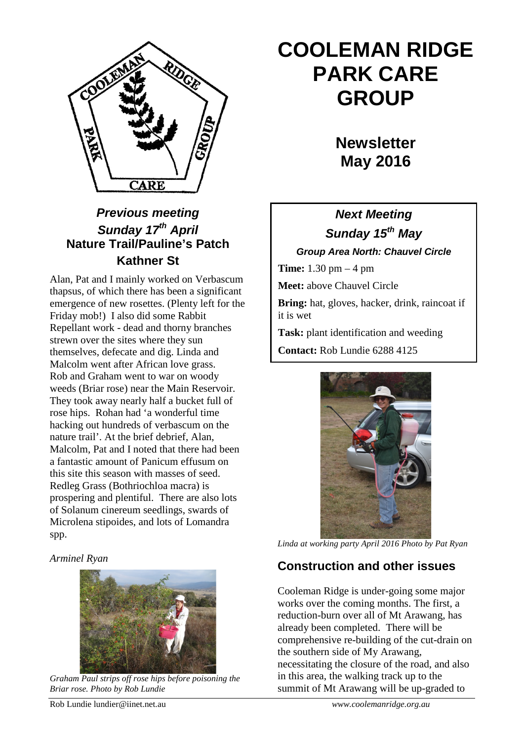

# *Previous meeting Sunday 17th April* **Nature Trail/Pauline's Patch Kathner St**

Alan, Pat and I mainly worked on Verbascum thapsus, of which there has been a significant emergence of new rosettes. (Plenty left for the Friday mob!) I also did some Rabbit Repellant work - dead and thorny branches strewn over the sites where they sun themselves, defecate and dig. Linda and Malcolm went after African love grass. Rob and Graham went to war on woody weeds (Briar rose) near the Main Reservoir. They took away nearly half a bucket full of rose hips. Rohan had 'a wonderful time hacking out hundreds of verbascum on the nature trail'. At the brief debrief, Alan, Malcolm, Pat and I noted that there had been a fantastic amount of Panicum effusum on this site this season with masses of seed. Redleg Grass (Bothriochloa macra) is prospering and plentiful. There are also lots of Solanum cinereum seedlings, swards of Microlena stipoides, and lots of Lomandra spp.

#### *Arminel Ryan*



*Graham Paul strips off rose hips before poisoning the Briar rose. Photo by Rob Lundie* 

# **Newsletter May 2016**

# *Next Meeting Sunday 15th May Group Area North: Chauvel Circle*

**Time:** 1.30 pm – 4 pm

**Meet:** above Chauvel Circle

**Bring:** hat, gloves, hacker, drink, raincoat if it is wet

**Task:** plant identification and weeding

**Contact:** Rob Lundie 6288 4125



*Linda at working party April 2016 Photo by Pat Ryan*

# **Construction and other issues**

Cooleman Ridge is under-going some major works over the coming months. The first, a reduction-burn over all of Mt Arawang, has already been completed. There will be comprehensive re-building of the cut-drain on the southern side of My Arawang, necessitating the closure of the road, and also in this area, the walking track up to the summit of Mt Arawang will be up-graded to